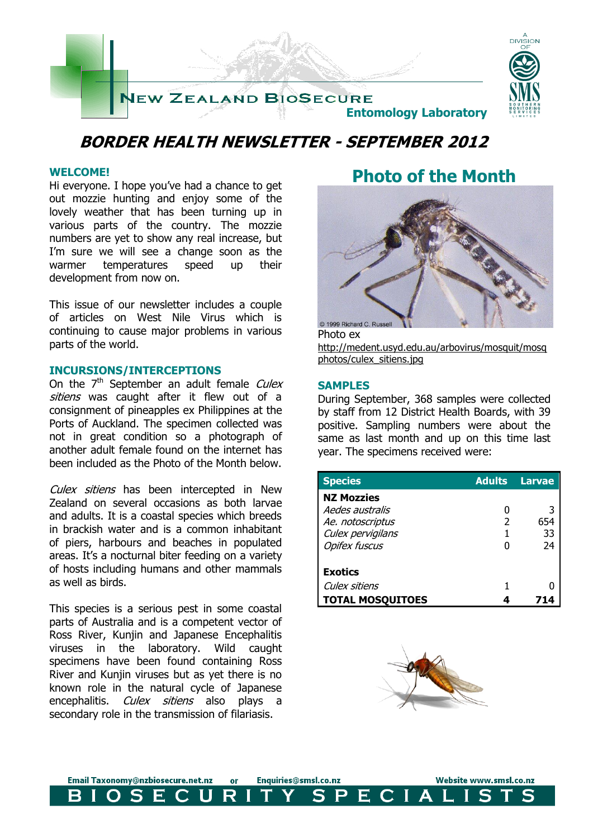

## **BORDER HEALTH NEWSLETTER - SEPTEMBER 2012**

#### **WELCOME!**

Hi everyone. I hope you've had a chance to get out mozzie hunting and enjoy some of the lovely weather that has been turning up in various parts of the country. The mozzie numbers are yet to show any real increase, but I'm sure we will see a change soon as the warmer temperatures speed up their development from now on.

This issue of our newsletter includes a couple of articles on West Nile Virus which is continuing to cause major problems in various parts of the world.

#### **INCURSIONS/INTERCEPTIONS**

On the  $7<sup>th</sup>$  September an adult female *Culex* sitiens was caught after it flew out of a consignment of pineapples ex Philippines at the Ports of Auckland. The specimen collected was not in great condition so a photograph of another adult female found on the internet has been included as the Photo of the Month below.

Culex sitiens has been intercepted in New Zealand on several occasions as both larvae and adults. It is a coastal species which breeds in brackish water and is a common inhabitant of piers, harbours and beaches in populated areas. It's a nocturnal biter feeding on a variety of hosts including humans and other mammals as well as birds.

This species is a serious pest in some coastal parts of Australia and is a competent vector of Ross River, Kunjin and Japanese Encephalitis viruses in the laboratory. Wild caught specimens have been found containing Ross River and Kunjin viruses but as yet there is no known role in the natural cycle of Japanese encephalitis. Culex sitiens also plays a secondary role in the transmission of filariasis.

Email Taxonomy@nzbiosecure.net.nz

OSEC

### **Photo of the Month**



Photo ex [http://medent.usyd.edu.au/arbovirus/mosquit/mosq](http://medent.usyd.edu.au/arbovirus/mosquit/mosqphotos/culex_sitiens.jpg) [photos/culex\\_sitiens.jpg](http://medent.usyd.edu.au/arbovirus/mosquit/mosqphotos/culex_sitiens.jpg)

#### **SAMPLES**

Enquiries@smsl.co.nz

S P

ECI

or

R

- U

During September, 368 samples were collected by staff from 12 District Health Boards, with 39 positive. Sampling numbers were about the same as last month and up on this time last year. The specimens received were:

| <b>Species</b>          | <b>Adults</b> | Larvae |
|-------------------------|---------------|--------|
| <b>NZ Mozzies</b>       |               |        |
| Aedes australis         |               | 3      |
| Ae. notoscriptus        | 2             | 654    |
| Culex pervigilans       |               | 33     |
| <b>Opifex fuscus</b>    |               | 24     |
| <b>Exotics</b>          |               |        |
| Culex sitiens           |               |        |
| <b>TOTAL MOSQUITOES</b> |               | 714    |



**A** 

Website www.smsl.co.nz

1 . I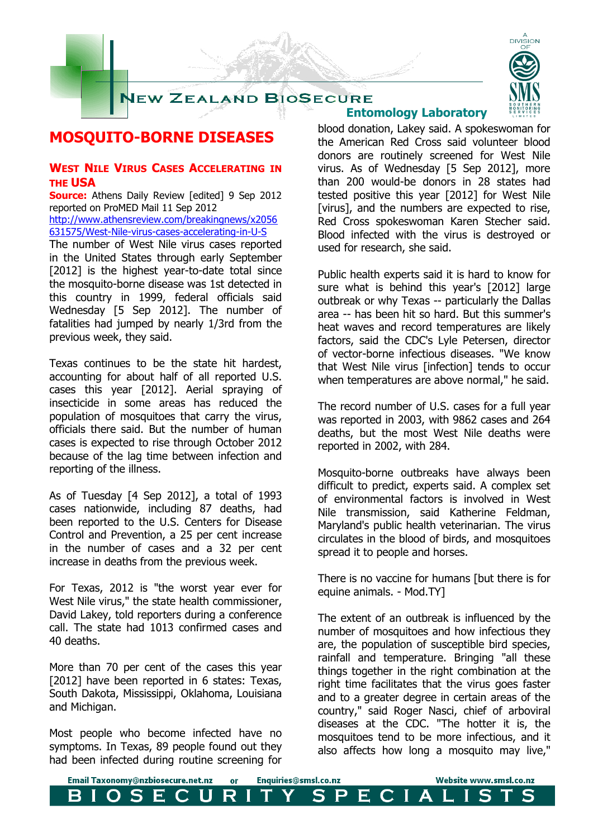



## **MOSQUITO-BORNE DISEASES**

#### **WEST NILE VIRUS CASES ACCELERATING IN THE USA**

**Source:** Athens Daily Review [edited] 9 Sep 2012 reported on ProMED Mail 11 Sep 2012 [http://www.athensreview.com/breakingnews/x2056](http://www.athensreview.com/breakingnews/x2056631575/West-Nile-virus-cases-accelerating-in-U-S)

[631575/West-Nile-virus-cases-accelerating-in-U-S](http://www.athensreview.com/breakingnews/x2056631575/West-Nile-virus-cases-accelerating-in-U-S) The number of West Nile virus cases reported in the United States through early September [2012] is the highest year-to-date total since the mosquito-borne disease was 1st detected in this country in 1999, federal officials said Wednesday [5 Sep 2012]. The number of fatalities had jumped by nearly 1/3rd from the previous week, they said.

Texas continues to be the state hit hardest, accounting for about half of all reported U.S. cases this year [2012]. Aerial spraying of insecticide in some areas has reduced the population of mosquitoes that carry the virus, officials there said. But the number of human cases is expected to rise through October 2012 because of the lag time between infection and reporting of the illness.

As of Tuesday [4 Sep 2012], a total of 1993 cases nationwide, including 87 deaths, had been reported to the U.S. Centers for Disease Control and Prevention, a 25 per cent increase in the number of cases and a 32 per cent increase in deaths from the previous week.

For Texas, 2012 is "the worst year ever for West Nile virus," the state health commissioner, David Lakey, told reporters during a conference call. The state had 1013 confirmed cases and 40 deaths.

More than 70 per cent of the cases this year [2012] have been reported in 6 states: Texas, South Dakota, Mississippi, Oklahoma, Louisiana and Michigan.

Most people who become infected have no symptoms. In Texas, 89 people found out they had been infected during routine screening for

# **Entomology Laboratory**

blood donation, Lakey said. A spokeswoman for the American Red Cross said volunteer blood donors are routinely screened for West Nile virus. As of Wednesday [5 Sep 2012], more than 200 would-be donors in 28 states had tested positive this year [2012] for West Nile [virus], and the numbers are expected to rise, Red Cross spokeswoman Karen Stecher said. Blood infected with the virus is destroyed or used for research, she said.

Public health experts said it is hard to know for sure what is behind this year's [2012] large outbreak or why Texas -- particularly the Dallas area -- has been hit so hard. But this summer's heat waves and record temperatures are likely factors, said the CDC's Lyle Petersen, director of vector-borne infectious diseases. "We know that West Nile virus [infection] tends to occur when temperatures are above normal," he said.

The record number of U.S. cases for a full year was reported in 2003, with 9862 cases and 264 deaths, but the most West Nile deaths were reported in 2002, with 284.

Mosquito-borne outbreaks have always been difficult to predict, experts said. A complex set of environmental factors is involved in West Nile transmission, said Katherine Feldman, Maryland's public health veterinarian. The virus circulates in the blood of birds, and mosquitoes spread it to people and horses.

There is no vaccine for humans [but there is for equine animals. - Mod.TY]

The extent of an outbreak is influenced by the number of mosquitoes and how infectious they are, the population of susceptible bird species, rainfall and temperature. Bringing "all these things together in the right combination at the right time facilitates that the virus goes faster and to a greater degree in certain areas of the country," said Roger Nasci, chief of arboviral diseases at the CDC. "The hotter it is, the mosquitoes tend to be more infectious, and it also affects how long a mosquito may live,"

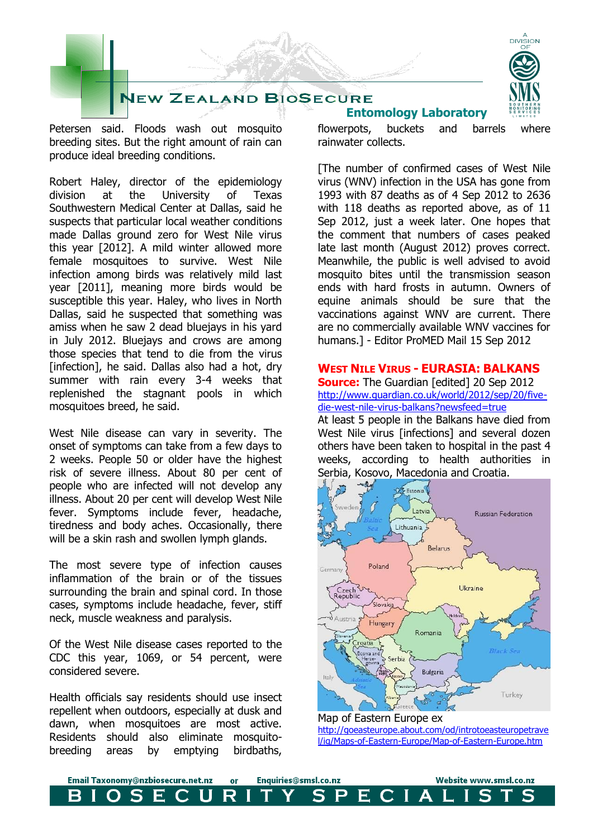# **JEW ZEALAND BIOSECURE**

Petersen said. Floods wash out mosquito breeding sites. But the right amount of rain can produce ideal breeding conditions.

Robert Haley, director of the epidemiology division at the University of Texas Southwestern Medical Center at Dallas, said he suspects that particular local weather conditions made Dallas ground zero for West Nile virus this year [2012]. A mild winter allowed more female mosquitoes to survive. West Nile infection among birds was relatively mild last year [2011], meaning more birds would be susceptible this year. Haley, who lives in North Dallas, said he suspected that something was amiss when he saw 2 dead bluejays in his yard in July 2012. Bluejays and crows are among those species that tend to die from the virus [infection], he said. Dallas also had a hot, dry summer with rain every 3-4 weeks that replenished the stagnant pools in which mosquitoes breed, he said.

West Nile disease can vary in severity. The onset of symptoms can take from a few days to 2 weeks. People 50 or older have the highest risk of severe illness. About 80 per cent of people who are infected will not develop any illness. About 20 per cent will develop West Nile fever. Symptoms include fever, headache, tiredness and body aches. Occasionally, there will be a skin rash and swollen lymph glands.

The most severe type of infection causes inflammation of the brain or of the tissues surrounding the brain and spinal cord. In those cases, symptoms include headache, fever, stiff neck, muscle weakness and paralysis.

Of the West Nile disease cases reported to the CDC this year, 1069, or 54 percent, were considered severe.

Health officials say residents should use insect repellent when outdoors, especially at dusk and dawn, when mosquitoes are most active. Residents should also eliminate mosquitobreeding areas by emptying birdbaths,

# **DIVISION**

 **Entomology Laboratory** flowerpots, buckets and barrels where rainwater collects.

[The number of confirmed cases of West Nile virus (WNV) infection in the USA has gone from 1993 with 87 deaths as of 4 Sep 2012 to 2636 with 118 deaths as reported above, as of 11 Sep 2012, just a week later. One hopes that the comment that numbers of cases peaked late last month (August 2012) proves correct. Meanwhile, the public is well advised to avoid mosquito bites until the transmission season ends with hard frosts in autumn. Owners of equine animals should be sure that the vaccinations against WNV are current. There are no commercially available WNV vaccines for humans.] - Editor ProMED Mail 15 Sep 2012

#### **WEST NILE VIRUS - EURASIA: BALKANS**

**Source:** The Guardian [edited] 20 Sep 2012 [http://www.guardian.co.uk/world/2012/sep/20/five](http://www.guardian.co.uk/world/2012/sep/20/five-die-west-nile-virus-balkans?newsfeed=true)[die-west-nile-virus-balkans?newsfeed=true](http://www.guardian.co.uk/world/2012/sep/20/five-die-west-nile-virus-balkans?newsfeed=true)

At least 5 people in the Balkans have died from West Nile virus [infections] and several dozen others have been taken to hospital in the past 4 weeks, according to health authorities in Serbia, Kosovo, Macedonia and Croatia.



[l/ig/Maps-of-Eastern-Europe/Map-of-Eastern-Europe.htm](http://goeasteurope.about.com/od/introtoeasteuropetravel/ig/Maps-of-Eastern-Europe/Map-of-Eastern-Europe.htm)